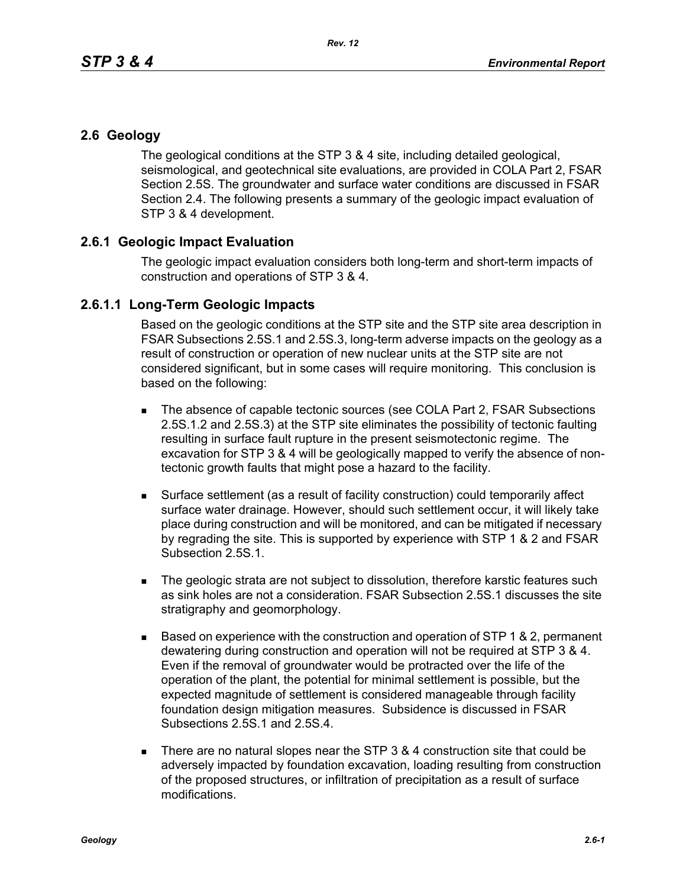## **2.6 Geology**

The geological conditions at the STP 3 & 4 site, including detailed geological, seismological, and geotechnical site evaluations, are provided in COLA Part 2, FSAR Section 2.5S. The groundwater and surface water conditions are discussed in FSAR Section 2.4. The following presents a summary of the geologic impact evaluation of STP 3 & 4 development.

## **2.6.1 Geologic Impact Evaluation**

The geologic impact evaluation considers both long-term and short-term impacts of construction and operations of STP 3 & 4.

## **2.6.1.1 Long-Term Geologic Impacts**

Based on the geologic conditions at the STP site and the STP site area description in FSAR Subsections 2.5S.1 and 2.5S.3, long-term adverse impacts on the geology as a result of construction or operation of new nuclear units at the STP site are not considered significant, but in some cases will require monitoring. This conclusion is based on the following:

- The absence of capable tectonic sources (see COLA Part 2, FSAR Subsections 2.5S.1.2 and 2.5S.3) at the STP site eliminates the possibility of tectonic faulting resulting in surface fault rupture in the present seismotectonic regime. The excavation for STP 3 & 4 will be geologically mapped to verify the absence of nontectonic growth faults that might pose a hazard to the facility.
- Surface settlement (as a result of facility construction) could temporarily affect surface water drainage. However, should such settlement occur, it will likely take place during construction and will be monitored, and can be mitigated if necessary by regrading the site. This is supported by experience with STP 1 & 2 and FSAR Subsection 2.5S.1.
- The geologic strata are not subject to dissolution, therefore karstic features such as sink holes are not a consideration. FSAR Subsection 2.5S.1 discusses the site stratigraphy and geomorphology.
- $\blacksquare$  Based on experience with the construction and operation of STP 1 & 2, permanent dewatering during construction and operation will not be required at STP 3 & 4. Even if the removal of groundwater would be protracted over the life of the operation of the plant, the potential for minimal settlement is possible, but the expected magnitude of settlement is considered manageable through facility foundation design mitigation measures. Subsidence is discussed in FSAR Subsections 2.5S.1 and 2.5S.4.
- There are no natural slopes near the STP  $3.8.4$  construction site that could be adversely impacted by foundation excavation, loading resulting from construction of the proposed structures, or infiltration of precipitation as a result of surface modifications.